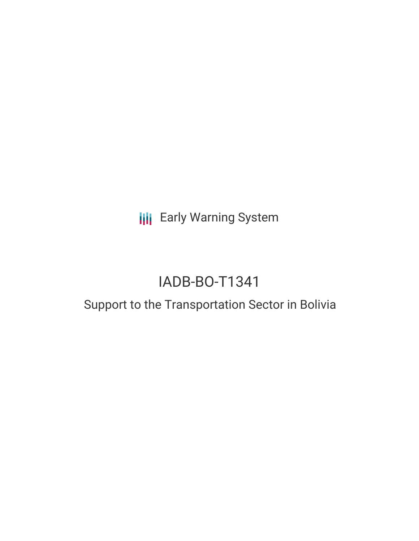**III** Early Warning System

# IADB-BO-T1341

## Support to the Transportation Sector in Bolivia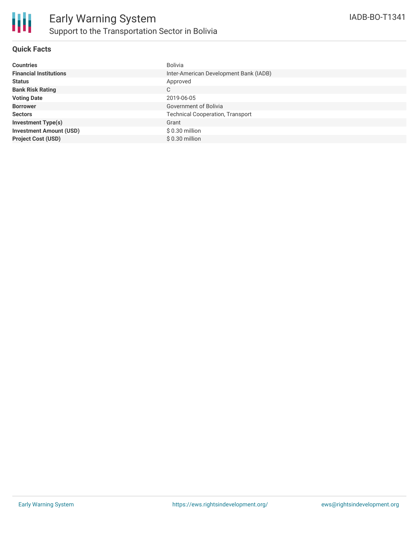#### **Quick Facts**

| <b>Countries</b>               | <b>Bolivia</b>                          |
|--------------------------------|-----------------------------------------|
| <b>Financial Institutions</b>  | Inter-American Development Bank (IADB)  |
| <b>Status</b>                  | Approved                                |
| <b>Bank Risk Rating</b>        | C                                       |
| <b>Voting Date</b>             | 2019-06-05                              |
| <b>Borrower</b>                | Government of Bolivia                   |
| <b>Sectors</b>                 | <b>Technical Cooperation, Transport</b> |
| <b>Investment Type(s)</b>      | Grant                                   |
| <b>Investment Amount (USD)</b> | $$0.30$ million                         |
| <b>Project Cost (USD)</b>      | $$0.30$ million                         |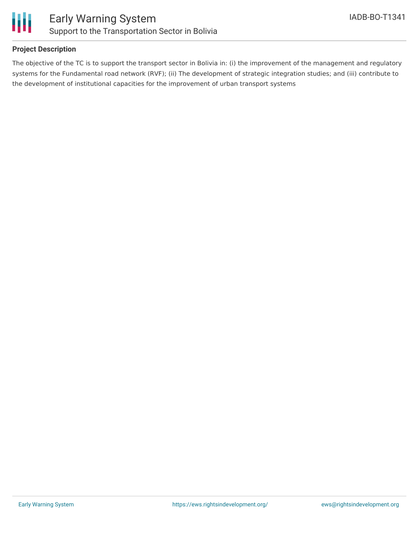

#### **Project Description**

The objective of the TC is to support the transport sector in Bolivia in: (i) the improvement of the management and regulatory systems for the Fundamental road network (RVF); (ii) The development of strategic integration studies; and (iii) contribute to the development of institutional capacities for the improvement of urban transport systems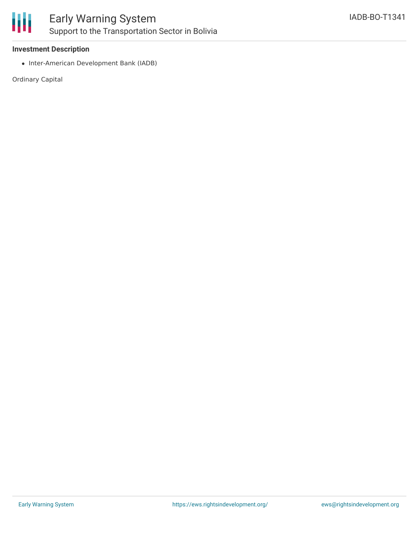

#### **Investment Description**

• Inter-American Development Bank (IADB)

Ordinary Capital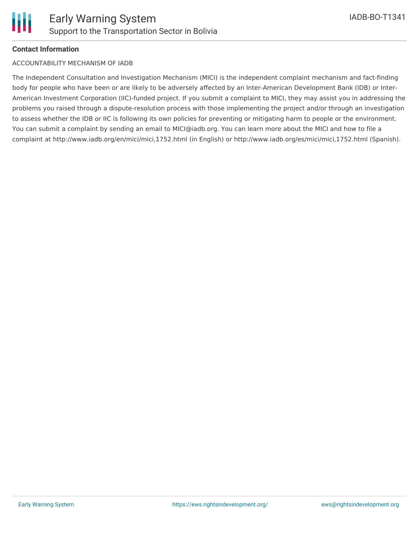

#### **Contact Information**

#### ACCOUNTABILITY MECHANISM OF IADB

The Independent Consultation and Investigation Mechanism (MICI) is the independent complaint mechanism and fact-finding body for people who have been or are likely to be adversely affected by an Inter-American Development Bank (IDB) or Inter-American Investment Corporation (IIC)-funded project. If you submit a complaint to MICI, they may assist you in addressing the problems you raised through a dispute-resolution process with those implementing the project and/or through an investigation to assess whether the IDB or IIC is following its own policies for preventing or mitigating harm to people or the environment. You can submit a complaint by sending an email to MICI@iadb.org. You can learn more about the MICI and how to file a complaint at http://www.iadb.org/en/mici/mici,1752.html (in English) or http://www.iadb.org/es/mici/mici,1752.html (Spanish).